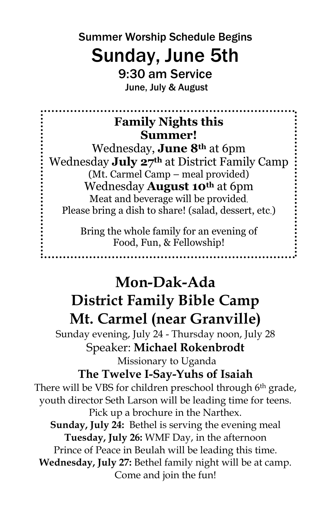Summer Worship Schedule Begins

# Sunday, June 5th

9:30 am Service June, July & August

## **Family Nights this Summer!**

Wednesday, **June 8th** at 6pm Wednesday **July 27th** at District Family Camp (Mt. Carmel Camp – meal provided) Wednesday **August 10th** at 6pm Meat and beverage will be provided. Please bring a dish to share! (salad, dessert, etc.)

> Bring the whole family for an evening of Food, Fun, & Fellowship!

# **Mon-Dak-Ada District Family Bible Camp Mt. Carmel (near Granville)**

Sunday evening, July 24 - Thursday noon, July 28 Speaker: **Michael Rokenbrodt**

Missionary to Uganda **The Twelve I-Say-Yuhs of Isaiah** There will be VBS for children preschool through 6<sup>th</sup> grade, youth director Seth Larson will be leading time for teens. Pick up a brochure in the Narthex. **Sunday, July 24:** Bethel is serving the evening meal **Tuesday, July 26:** WMF Day, in the afternoon Prince of Peace in Beulah will be leading this time. **Wednesday, July 27:** Bethel family night will be at camp. Come and join the fun!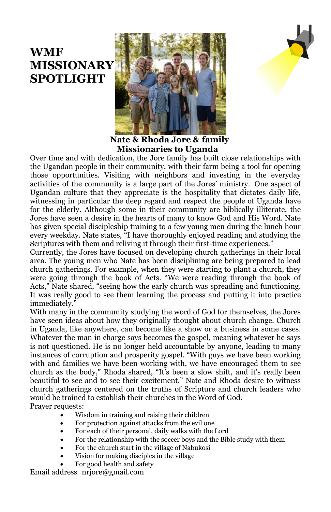## **WMF MISSIONARY SPOTLIGHT**



 **Nate & Rhoda Jore & family Missionaries to Uganda**

Over time and with dedication, the Jore family has built close relationships with the Ugandan people in their community, with their farm being a tool for opening those opportunities. Visiting with neighbors and investing in the everyday activities of the community is a large part of the Jores' ministry. One aspect of Ugandan culture that they appreciate is the hospitality that dictates daily life, witnessing in particular the deep regard and respect the people of Uganda have for the elderly. Although some in their community are biblically illiterate, the Jores have seen a desire in the hearts of many to know God and His Word. Nate has given special discipleship training to a few young men during the lunch hour every weekday. Nate states, "I have thoroughly enjoyed reading and studying the Scriptures with them and reliving it through their first-time experiences."

Currently, the Jores have focused on developing church gatherings in their local area. The young men who Nate has been disciplining are being prepared to lead church gatherings. For example, when they were starting to plant a church, they were going through the book of Acts. "We were reading through the book of Acts," Nate shared, "seeing how the early church was spreading and functioning. It was really good to see them learning the process and putting it into practice immediately."

With many in the community studying the word of God for themselves, the Jores have seen ideas about how they originally thought about church change. Church in Uganda, like anywhere, can become like a show or a business in some cases. Whatever the man in charge says becomes the gospel, meaning whatever he says is not questioned. He is no longer held accountable by anyone, leading to many instances of corruption and prosperity gospel. "With guys we have been working with and families we have been working with, we have encouraged them to see church as the body," Rhoda shared, "It's been a slow shift, and it's really been beautiful to see and to see their excitement." Nate and Rhoda desire to witness church gatherings centered on the truths of Scripture and church leaders who would be trained to establish their churches in the Word of God. Prayer requests:

- Wisdom in training and raising their children
- For protection against attacks from the evil one
- For each of their personal, daily walks with the Lord
- For the relationship with the soccer boys and the Bible study with them
- For the church start in the village of Nabukosi
- Vision for making disciples in the village
- For good health and safety

Email address: nrjore@gmail.com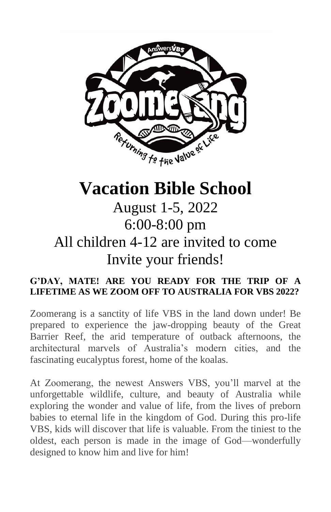

# **Vacation Bible School**

# August 1-5, 2022 6:00-8:00 pm All children 4-12 are invited to come Invite your friends!

#### **G'DAY, MATE! ARE YOU READY FOR THE TRIP OF A LIFETIME AS WE ZOOM OFF TO AUSTRALIA FOR VBS 2022?**

Zoomerang is a sanctity of life VBS in the land down under! Be prepared to experience the jaw-dropping beauty of the Great Barrier Reef, the arid temperature of outback afternoons, the architectural marvels of Australia's modern cities, and the fascinating eucalyptus forest, home of the koalas.

At Zoomerang, the newest Answers VBS, you'll marvel at the unforgettable wildlife, culture, and beauty of Australia while exploring the wonder and value of life, from the lives of preborn babies to eternal life in the kingdom of God. During this pro-life VBS, kids will discover that life is valuable. From the tiniest to the oldest, each person is made in the image of God—wonderfully designed to know him and live for him!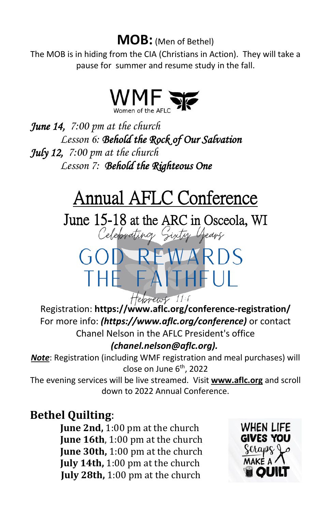## **MOB:** (Men of Bethel)

The MOB is in hiding from the CIA (Christians in Action). They will take a pause for summer and resume study in the fall.



*June 14, 7:00 pm at the church Lesson 6: Behold the Rock of Our Salvation July 12, 7:00 pm at the church Lesson 7: Behold the Righteous One* 

# Annual AFLC Conference

June 15-18 at the ARC in Osceola, WI<br>Celebrating Sixty Years

GOD REWARDS

THE FAITHFUL

Hebrews 11:6 Registration: **https://www.aflc.org/conference-registration/** For more info: *[\(https://www.aflc.org/conference\)](https://www.aflc.org/conference)* or contact Chanel Nelson in the AFLC President's office *(chanel.nelson@aflc.org).*

*Note*: Registration (including WMF registration and meal purchases) will close on June 6<sup>th</sup>, 2022

The evening services will be live streamed. Visit **www.aflc.org** and scroll down to 2022 Annual Conference.

### **Bethel Quilting**:

**June 2nd,** 1:00 pm at the church **June 16th**, 1:00 pm at the church **June 30th,** 1:00 pm at the church **July 14th,** 1:00 pm at the church **July 28th,** 1:00 pm at the church

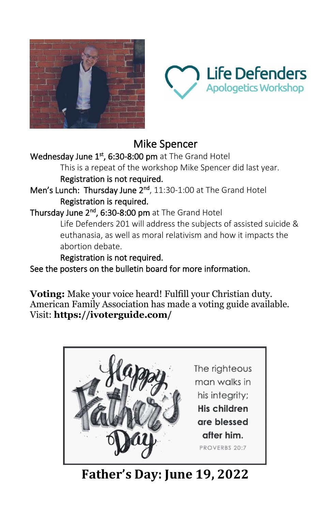



## Mike Spencer

Wednesday June 1<sup>st</sup>, 6:30-8:00 pm at The Grand Hotel

This is a repeat of the workshop Mike Spencer did last year. Registration is not required.

Men's Lunch: Thursday June 2<sup>nd</sup>, 11:30-1:00 at The Grand Hotel Registration is required.

Thursday June 2<sup>nd</sup>, 6:30-8:00 pm at The Grand Hotel

Life Defenders 201 will address the subjects of assisted suicide & euthanasia, as well as moral relativism and how it impacts the abortion debate.

Registration is not required.

See the posters on the bulletin board for more information.

**Voting:** Make your voice heard! Fulfill your Christian duty. American Family Association has made a voting guide available. Visit: **https://ivoterguide.com/**



**Father's Day: June 19, 2022**